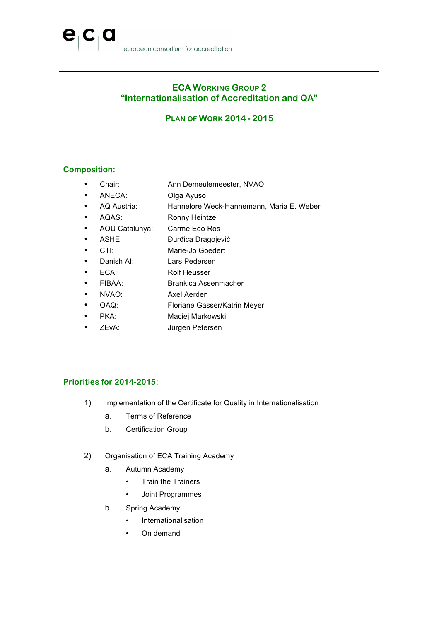## **ECA WORKING GROUP 2 "Internationalisation of Accreditation and QA"**

## **PLAN OF WORK 2014 - 2015**

### **Composition:**

 $\mathbf{e}_1$ 

- Chair: Ann Demeulemeester, NVAO
- ANECA: Olga Ayuso
- AQ Austria: Hannelore Weck-Hannemann, Maria E. Weber
- AQAS: Ronny Heintze
- AQU Catalunya: Carme Edo Ros
- ASHE: Đurđica Dragojević
- CTI: Marie-Jo Goedert
- Danish AI: Lars Pedersen
- ECA: Rolf Heusser
- FIBAA: Brankica Assenmacher
- NVAO: Axel Aerden
- OAQ: Floriane Gasser/Katrin Meyer
- PKA: Maciej Markowski
- ZEvA: Jürgen Petersen

#### **Priorities for 2014-2015:**

- 1) Implementation of the Certificate for Quality in Internationalisation
	- a. Terms of Reference
	- b. Certification Group
- 2) Organisation of ECA Training Academy
	- a. Autumn Academy
		- Train the Trainers
		- Joint Programmes
	- b. Spring Academy
		- Internationalisation
		- On demand